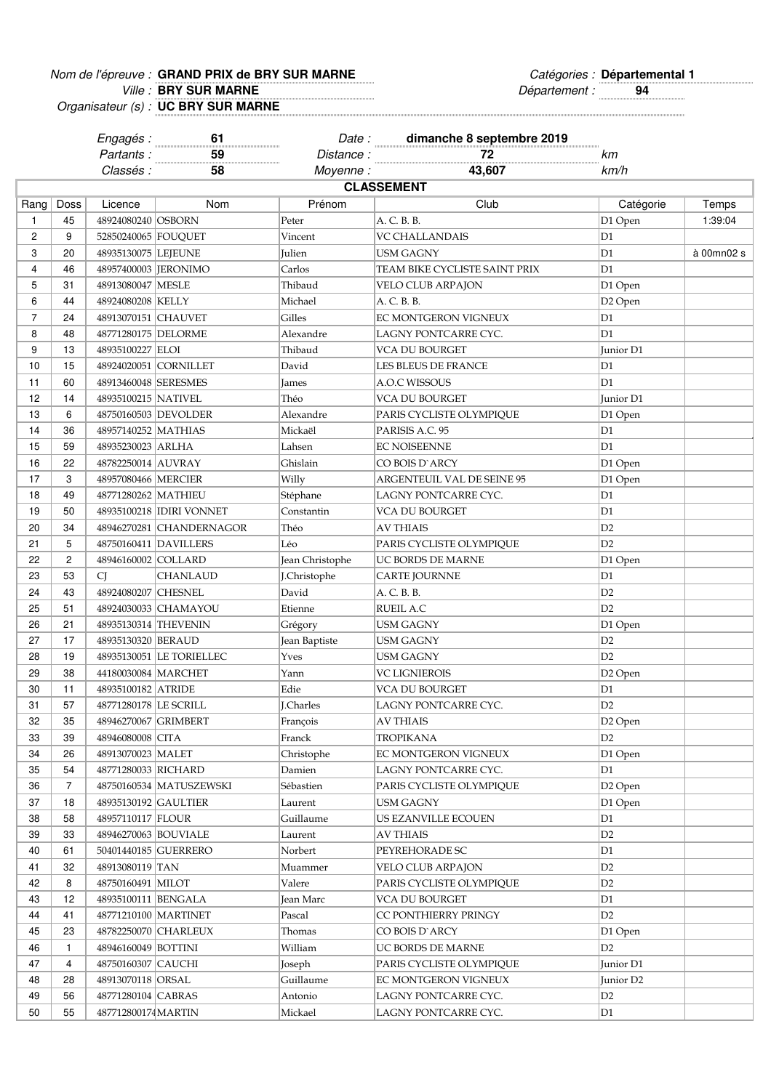## Nom de l'épreuve : Catégories : **GRAND PRIX de BRY SUR MARNE Départemental 1**

Ville : Département : **94 BRY SUR MARNE**

Organisateur (s) : **UC BRY SUR MARNE**

|                   |                | Engagés :<br>Partants:                     | 61<br>59                  | Date :<br>Distance: | dimanche 8 septembre 2019<br>72            | km                    |            |  |  |
|-------------------|----------------|--------------------------------------------|---------------------------|---------------------|--------------------------------------------|-----------------------|------------|--|--|
|                   |                | Classés :                                  | 58                        | Moyenne:            | 43,607                                     | km/h                  |            |  |  |
| <b>CLASSEMENT</b> |                |                                            |                           |                     |                                            |                       |            |  |  |
| Rang $ $          | Doss           | Licence                                    | Nom                       | Prénom              | Club                                       | Catégorie             | Temps      |  |  |
| 1                 | 45             | 48924080240 OSBORN                         |                           | Peter               | A. C. B. B.                                | D1 Open               | 1:39:04    |  |  |
| $\overline{c}$    | 9              | 52850240065 FOUQUET                        |                           | Vincent             | VC CHALLANDAIS                             | D <sub>1</sub>        |            |  |  |
| 3                 | 20             | 48935130075 LEJEUNE                        |                           | Julien              | USM GAGNY                                  | D <sub>1</sub>        | à 00mn02 s |  |  |
| 4                 | 46             |                                            | 48957400003  JERONIMO     | Carlos              | TEAM BIKE CYCLISTE SAINT PRIX              | D <sub>1</sub>        |            |  |  |
| 5                 | 31             | 48913080047   MESLE                        |                           | Thibaud             | VELO CLUB ARPAJON                          | D1 Open               |            |  |  |
| 6                 | 44             | 48924080208 KELLY                          |                           | Michael             | A. C. B. B.                                | D <sub>2</sub> Open   |            |  |  |
| $\overline{7}$    | 24             | 48913070151 CHAUVET                        |                           | Gilles              | EC MONTGERON VIGNEUX                       | D1                    |            |  |  |
| 8                 | 48             | 48771280175   DELORME                      |                           | Alexandre           | LAGNY PONTCARRE CYC.                       | D <sub>1</sub>        |            |  |  |
| 9                 | 13             | 48935100227 ELOI                           |                           | Thibaud             | VCA DU BOURGET                             | Junior D1             |            |  |  |
| 10                | 15             |                                            | 48924020051 CORNILLET     | David               | LES BLEUS DE FRANCE                        | D <sub>1</sub>        |            |  |  |
| 11                | 60             | 48913460048 SERESMES                       |                           | James               | A.O.C WISSOUS                              | D <sub>1</sub>        |            |  |  |
| 12                | 14             | 48935100215 NATIVEL                        |                           | Théo                | VCA DU BOURGET                             | Junior D1             |            |  |  |
| 13                | 6              |                                            | 48750160503 DEVOLDER      | Alexandre           | PARIS CYCLISTE OLYMPIQUE                   | D1 Open               |            |  |  |
| 14                | 36             | 48957140252 MATHIAS                        |                           | Mickaël             | PARISIS A.C. 95                            | D1                    |            |  |  |
| 15                | 59             | 48935230023 ARLHA                          |                           | Lahsen              | EC NOISEENNE                               | D <sub>1</sub>        |            |  |  |
| 16                | 22             | 48782250014 AUVRAY                         |                           | Ghislain            | CO BOIS D`ARCY                             | D1 Open               |            |  |  |
| 17                | 3              | 48957080466   MERCIER                      |                           | Willy               | ARGENTEUIL VAL DE SEINE 95                 | D1 Open               |            |  |  |
| 18                | 49             | 48771280262   MATHIEU                      |                           | Stéphane            | LAGNY PONTCARRE CYC.                       | D1                    |            |  |  |
| 19                | 50             |                                            | 48935100218 IDIRI VONNET  | Constantin          | VCA DU BOURGET                             | D1                    |            |  |  |
| 20                | 34             |                                            | 48946270281 CHANDERNAGOR  | Théo                | AV THIAIS                                  | D <sub>2</sub>        |            |  |  |
| 21                | 5              |                                            | 48750160411 DAVILLERS     | Léo                 | PARIS CYCLISTE OLYMPIQUE                   | D2                    |            |  |  |
| 22                | $\overline{c}$ | 48946160002 COLLARD                        |                           | Jean Christophe     | UC BORDS DE MARNE                          | D1 Open               |            |  |  |
| 23                | 53             | <b>CJ</b>                                  | CHANLAUD                  | J.Christophe        | <b>CARTE JOURNNE</b>                       | D1                    |            |  |  |
| 24                | 43             | 48924080207 CHESNEL                        |                           | David               | A. C. B. B.                                | D2                    |            |  |  |
| 25                | 51             |                                            | 48924030033 CHAMAYOU      | Etienne             | RUEIL A.C                                  | D2                    |            |  |  |
| 26                | 21             |                                            | 48935130314 THEVENIN      | Grégory             | USM GAGNY                                  | D1 Open               |            |  |  |
| 27                | 17             | 48935130320 BERAUD                         |                           | Jean Baptiste       | USM GAGNY                                  | D <sub>2</sub>        |            |  |  |
| 28                | 19             |                                            | 48935130051 LE TORIELLEC  | Yves                | USM GAGNY                                  | D <sub>2</sub>        |            |  |  |
| 29                | 38             | 44180030084   MARCHET                      |                           | Yann                | <b>VC LIGNIEROIS</b>                       | D2 Open               |            |  |  |
| 30                | 11             | 48935100182 ATRIDE                         |                           | Edie                | VCA DU BOURGET                             | D <sub>1</sub>        |            |  |  |
| 31                | 57             | 48771280178 LE SCRILL                      |                           | J.Charles           | LAGNY PONTCARRE CYC.                       | D2                    |            |  |  |
| 32                | 35             | 48946270067 GRIMBERT                       |                           | François            | AV THIAIS                                  | D <sub>2</sub> Open   |            |  |  |
| 33                | 39             | 48946080008 CITA                           |                           | Franck              | <b>TROPIKANA</b>                           | D <sub>2</sub>        |            |  |  |
| 34                | 26             | 48913070023 MALET                          |                           | Christophe          | EC MONTGERON VIGNEUX                       | D1 Open               |            |  |  |
| 35                | 54             | 48771280033 RICHARD                        |                           | Damien              | LAGNY PONTCARRE CYC.                       | D1                    |            |  |  |
| 36                | 7              |                                            | 48750160534   MATUSZEWSKI | Sébastien           | PARIS CYCLISTE OLYMPIQUE                   | D2 Open               |            |  |  |
| 37                | 18             | 48935130192 GAULTIER                       |                           | Laurent             | USM GAGNY                                  | D1 Open               |            |  |  |
| 38                | 58             | 48957110117 FLOUR                          |                           | Guillaume           | US EZANVILLE ECOUEN                        | D1                    |            |  |  |
| 39                | 33             | 48946270063 BOUVIALE                       |                           |                     | <b>AV THIAIS</b>                           | D <sub>2</sub>        |            |  |  |
| 40                | 61             |                                            | 50401440185 GUERRERO      | Laurent<br>Norbert  | PEYREHORADE SC                             | D1                    |            |  |  |
| 41                | 32             | 48913080119 TAN                            |                           |                     | VELO CLUB ARPAJON                          |                       |            |  |  |
|                   |                |                                            |                           | Muammer             |                                            | D <sub>2</sub>        |            |  |  |
| 42<br>43          | 8<br>12        | 48750160491   MILOT<br>48935100111 BENGALA |                           | Valere              | PARIS CYCLISTE OLYMPIQUE<br>VCA DU BOURGET | D <sub>2</sub><br>D1  |            |  |  |
|                   |                |                                            |                           | Jean Marc           |                                            |                       |            |  |  |
| 44                | 41             |                                            | 48771210100 MARTINET      | Pascal              | CC PONTHIERRY PRINGY                       | D <sub>2</sub>        |            |  |  |
| 45                | 23             |                                            | 48782250070 CHARLEUX      | Thomas              | CO BOIS D'ARCY                             | D1 Open<br>D2         |            |  |  |
| 46                | 1              | 48946160049 BOTTINI                        |                           | William             | UC BORDS DE MARNE                          |                       |            |  |  |
| 47                | 4              | 48750160307 CAUCHI                         |                           | Joseph              | PARIS CYCLISTE OLYMPIQUE                   | Junior D1             |            |  |  |
| 48                | 28             | 48913070118 ORSAL                          |                           | Guillaume           | EC MONTGERON VIGNEUX                       | Junior D <sub>2</sub> |            |  |  |
| 49                | 56             | 48771280104 CABRAS                         |                           | Antonio             | LAGNY PONTCARRE CYC.                       | D <sub>2</sub>        |            |  |  |
| 50                | 55             | 487712800174 MARTIN                        |                           | Mickael             | LAGNY PONTCARRE CYC.                       | D1                    |            |  |  |